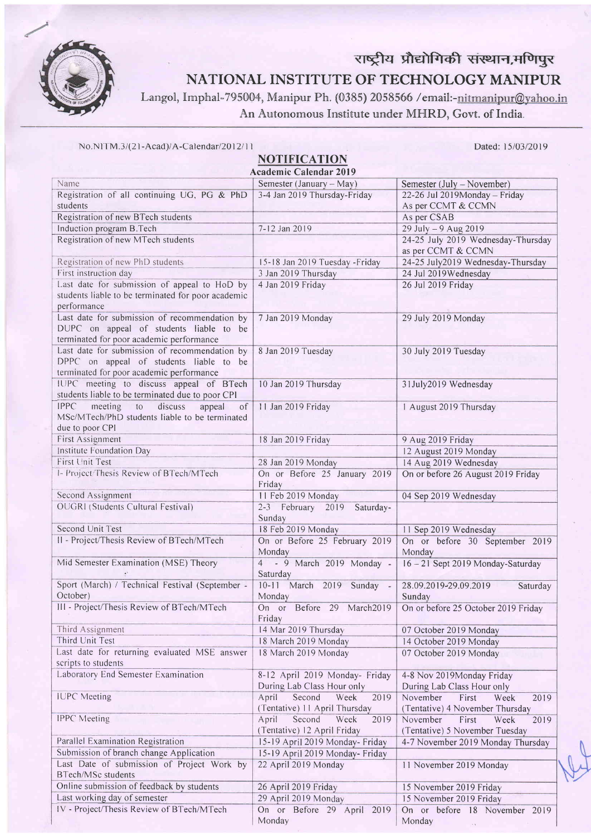

## राष्ट्रीय प्रौद्योगिकी संस्थान,मणिपुर NATIONAL INSTITUTE OF TECHNOLOGY MANIPUR

Langol, Imphal-795004, Manipur Ph. (0385) 2058566 /email:-nitmanipur@yahoo.in An Autonomous Institute under MHRD, Govt. of India.

| No.NITM.3/(21-Acad)/A-Calendar/2012/11 |  |  |  |
|----------------------------------------|--|--|--|
|----------------------------------------|--|--|--|

**NOTIFICATION** 

Dated: 15/03/2019

| $\cdots$<br><b>Academic Calendar 2019</b>                                                                                            |                                                                  |                                                                      |  |  |  |
|--------------------------------------------------------------------------------------------------------------------------------------|------------------------------------------------------------------|----------------------------------------------------------------------|--|--|--|
| Name                                                                                                                                 | Semester (January – May)                                         | Semester (July – November)                                           |  |  |  |
| Registration of all continuing UG, PG & PhD                                                                                          | 3-4 Jan 2019 Thursday-Friday                                     | 22-26 Jul 2019Monday - Friday                                        |  |  |  |
| students                                                                                                                             |                                                                  | As per CCMT & CCMN                                                   |  |  |  |
| Registration of new BTech students                                                                                                   |                                                                  | As per CSAB                                                          |  |  |  |
| Induction program B.Tech                                                                                                             | 7-12 Jan 2019                                                    | 29 July - 9 Aug 2019                                                 |  |  |  |
| Registration of new MTech students                                                                                                   |                                                                  | 24-25 July 2019 Wednesday-Thursday<br>as per CCMT & CCMN             |  |  |  |
| Registration of new PhD students                                                                                                     | 15-18 Jan 2019 Tuesday - Friday                                  | 24-25 July2019 Wednesday-Thursday                                    |  |  |  |
| First instruction day                                                                                                                | 3 Jan 2019 Thursday                                              | 24 Jul 2019 Wednesday                                                |  |  |  |
| Last date for submission of appeal to HoD by                                                                                         | 4 Jan 2019 Friday                                                | 26 Jul 2019 Friday                                                   |  |  |  |
| students liable to be terminated for poor academic<br>performance                                                                    |                                                                  |                                                                      |  |  |  |
| Last date for submission of recommendation by<br>DUPC on appeal of students liable to be<br>terminated for poor academic performance | 7 Jan 2019 Monday                                                | 29 July 2019 Monday                                                  |  |  |  |
| Last date for submission of recommendation by<br>DPPC on appeal of students liable to be<br>terminated for poor academic performance | 8 Jan 2019 Tuesday                                               | 30 July 2019 Tuesday                                                 |  |  |  |
| IUPC meeting to discuss appeal of BTech<br>students liable to be terminated due to poor CPI                                          | 10 Jan 2019 Thursday                                             | 31July2019 Wednesday                                                 |  |  |  |
| <b>IPPC</b><br>meeting to discuss<br>appeal<br>of<br>MSc/MTech/PhD students liable to be terminated<br>due to poor CPI               | 11 Jan 2019 Friday                                               | 1 August 2019 Thursday                                               |  |  |  |
| First Assignment                                                                                                                     | 18 Jan 2019 Friday                                               | 9 Aug 2019 Friday                                                    |  |  |  |
| Institute Foundation Day                                                                                                             |                                                                  | 12 August 2019 Monday                                                |  |  |  |
| First Unit Test                                                                                                                      | 28 Jan 2019 Monday                                               | 14 Aug 2019 Wednesday                                                |  |  |  |
| I- Project/Thesis Review of BTech/MTech                                                                                              | On or Before 25 January 2019<br>Friday                           | On or before 26 August 2019 Friday                                   |  |  |  |
| Second Assignment                                                                                                                    | 11 Feb 2019 Monday                                               | 04 Sep 2019 Wednesday                                                |  |  |  |
| OUGRI (Students Cultural Festival)                                                                                                   | 2-3 February 2019 Saturday-<br>Sunday                            |                                                                      |  |  |  |
| Second Unit Test                                                                                                                     | 18 Feb 2019 Monday                                               | 11 Sep 2019 Wednesday                                                |  |  |  |
| II - Project/Thesis Review of BTech/MTech                                                                                            | On or Before 25 February 2019<br>Monday                          | On or before 30 September 2019<br>Monday                             |  |  |  |
| Mid Semester Examination (MSE) Theory                                                                                                | 4 - 9 March 2019 Monday -<br>Saturday                            | 16-21 Sept 2019 Monday-Saturday                                      |  |  |  |
| Sport (March) / Technical Festival (September -<br>October)                                                                          | 10-11 March 2019 Sunday -<br>Monday                              | 28.09.2019-29.09.2019<br>Saturday<br>Sunday                          |  |  |  |
| III - Project/Thesis Review of BTech/MTech                                                                                           | On or Before 29 March2019<br>Friday                              | On or before 25 October 2019 Friday                                  |  |  |  |
| Third Assignment                                                                                                                     | 14 Mar 2019 Thursday                                             | 07 October 2019 Monday                                               |  |  |  |
| Third Unit Test                                                                                                                      | 18 March 2019 Monday                                             | 14 October 2019 Monday                                               |  |  |  |
| Last date for returning evaluated MSE answer<br>scripts to students                                                                  | 18 March 2019 Monday                                             | 07 October 2019 Monday                                               |  |  |  |
| Laboratory End Semester Examination                                                                                                  | 8-12 April 2019 Monday- Friday<br>During Lab Class Hour only     | 4-8 Nov 2019Monday Friday<br>During Lab Class Hour only              |  |  |  |
| <b>IUPC</b> Meeting                                                                                                                  | April<br>Second<br>2019<br>Week<br>(Tentative) 11 April Thursday | November<br>First<br>Week<br>2019<br>(Tentative) 4 November Thursday |  |  |  |
| <b>IPPC</b> Meeting                                                                                                                  | April<br>Second<br>Week<br>2019<br>(Tentative) 12 April Friday   | November<br>First<br>Week<br>2019<br>(Tentative) 5 November Tuesday  |  |  |  |
| Parallel Examination Registration                                                                                                    | 15-19 April 2019 Monday- Friday                                  | 4-7 November 2019 Monday Thursday                                    |  |  |  |
| Submission of branch change Application                                                                                              | 15-19 April 2019 Monday- Friday                                  |                                                                      |  |  |  |
| Last Date of submission of Project Work by<br><b>BTech/MSc students</b>                                                              | 22 April 2019 Monday                                             | 11 November 2019 Monday                                              |  |  |  |
| Online submission of feedback by students                                                                                            | 26 April 2019 Friday                                             | 15 November 2019 Friday                                              |  |  |  |
| Last working day of semester                                                                                                         | 29 April 2019 Monday                                             | 15 November 2019 Friday                                              |  |  |  |
| IV - Project/Thesis Review of BTech/MTech                                                                                            | On or Before 29 April 2019<br>Monday                             | On or before 18 November 2019<br>Monday                              |  |  |  |